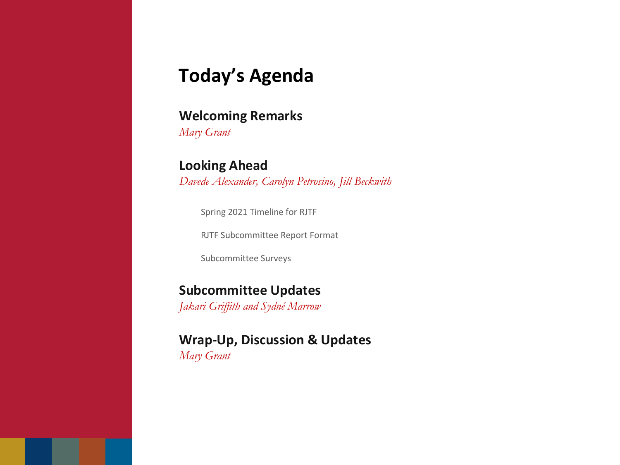## **Today's Agenda**

### **Welcoming Remarks**

*Mary Grant*

### **Looking Ahead**

*Davede Alexander, Carolyn Petrosino, Jill Beckwith*

Spring 2021 Timeline for RJTF

RJTF Subcommittee Report Format

Subcommittee Surveys

#### **Subcommittee Updates**

*Jakari Griffith and Sydné Marrow*

### **Wrap-Up, Discussion & Updates**

*Mary Grant*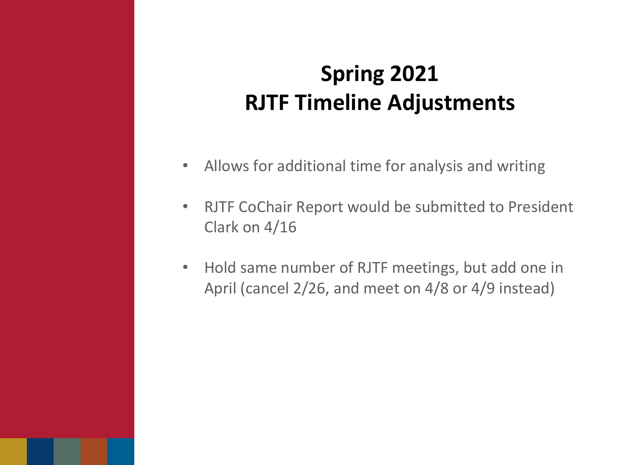- Allows for additional time for analysis and writing
- RJTF CoChair Report would be submitted to President Clark on 4/16
- Hold same number of RJTF meetings, but add one in April (cancel 2/26, and meet on 4/8 or 4/9 instead)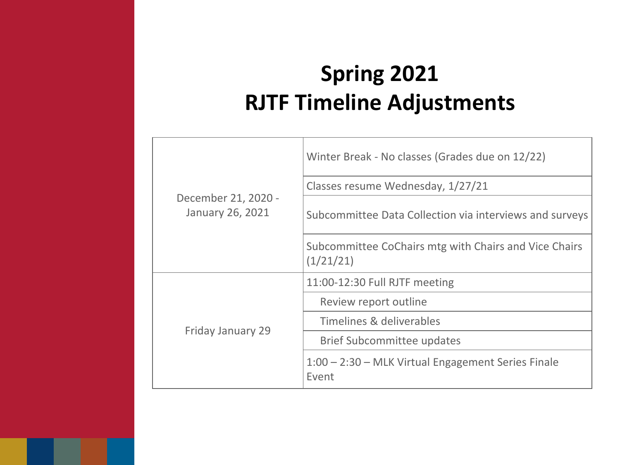| December 21, 2020 -<br><b>January 26, 2021</b> | Winter Break - No classes (Grades due on 12/22)                    |
|------------------------------------------------|--------------------------------------------------------------------|
|                                                | Classes resume Wednesday, 1/27/21                                  |
|                                                | Subcommittee Data Collection via interviews and surveys            |
|                                                | Subcommittee CoChairs mtg with Chairs and Vice Chairs<br>(1/21/21) |
| <b>Friday January 29</b>                       | 11:00-12:30 Full RJTF meeting                                      |
|                                                | Review report outline                                              |
|                                                | Timelines & deliverables                                           |
|                                                | <b>Brief Subcommittee updates</b>                                  |
|                                                | 1:00 – 2:30 – MLK Virtual Engagement Series Finale<br>Event        |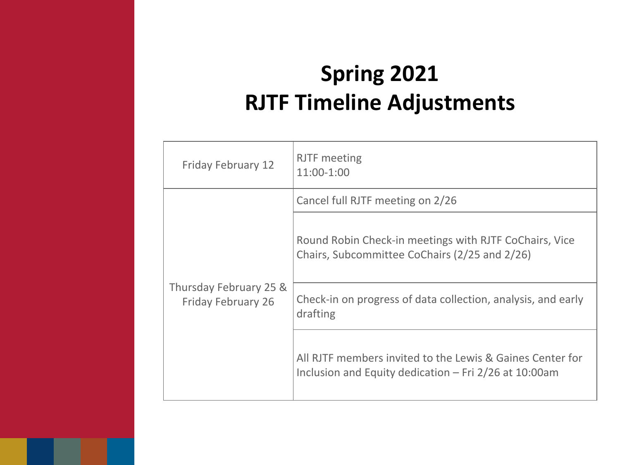| <b>Friday February 12</b>                           | <b>RJTF</b> meeting<br>11:00-1:00                                                                                    |
|-----------------------------------------------------|----------------------------------------------------------------------------------------------------------------------|
| Thursday February 25 &<br><b>Friday February 26</b> | Cancel full RJTF meeting on 2/26                                                                                     |
|                                                     | Round Robin Check-in meetings with RJTF CoChairs, Vice<br>Chairs, Subcommittee CoChairs (2/25 and 2/26)              |
|                                                     | Check-in on progress of data collection, analysis, and early<br>drafting                                             |
|                                                     | All RJTF members invited to the Lewis & Gaines Center for<br>Inclusion and Equity dedication $-$ Fri 2/26 at 10:00am |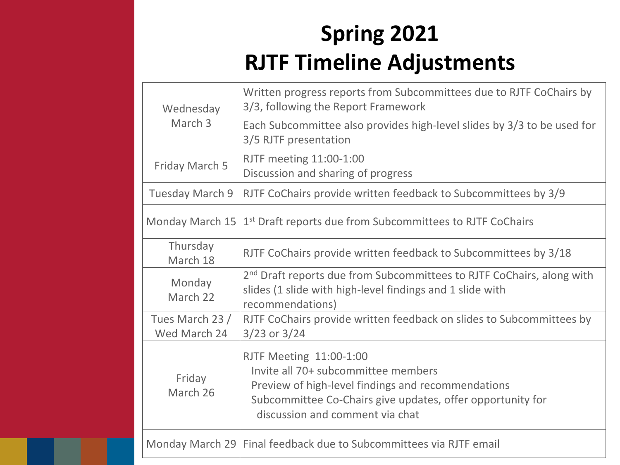| Wednesday<br>March 3            | Written progress reports from Subcommittees due to RJTF CoChairs by<br>3/3, following the Report Framework                                                                                                                   |
|---------------------------------|------------------------------------------------------------------------------------------------------------------------------------------------------------------------------------------------------------------------------|
|                                 | Each Subcommittee also provides high-level slides by 3/3 to be used for<br>3/5 RJTF presentation                                                                                                                             |
| <b>Friday March 5</b>           | <b>RJTF meeting 11:00-1:00</b><br>Discussion and sharing of progress                                                                                                                                                         |
| <b>Tuesday March 9</b>          | RJTF CoChairs provide written feedback to Subcommittees by 3/9                                                                                                                                                               |
| <b>Monday March 15</b>          | 1 <sup>st</sup> Draft reports due from Subcommittees to RJTF CoChairs                                                                                                                                                        |
| Thursday<br>March 18            | RJTF CoChairs provide written feedback to Subcommittees by 3/18                                                                                                                                                              |
| Monday<br>March 22              | 2 <sup>nd</sup> Draft reports due from Subcommittees to RJTF CoChairs, along with<br>slides (1 slide with high-level findings and 1 slide with<br>recommendations)                                                           |
| Tues March 23 /<br>Wed March 24 | RJTF CoChairs provide written feedback on slides to Subcommittees by<br>3/23 or 3/24                                                                                                                                         |
| Friday<br>March 26              | <b>RJTF Meeting 11:00-1:00</b><br>Invite all 70+ subcommittee members<br>Preview of high-level findings and recommendations<br>Subcommittee Co-Chairs give updates, offer opportunity for<br>discussion and comment via chat |
|                                 | Monday March 29   Final feedback due to Subcommittees via RJTF email                                                                                                                                                         |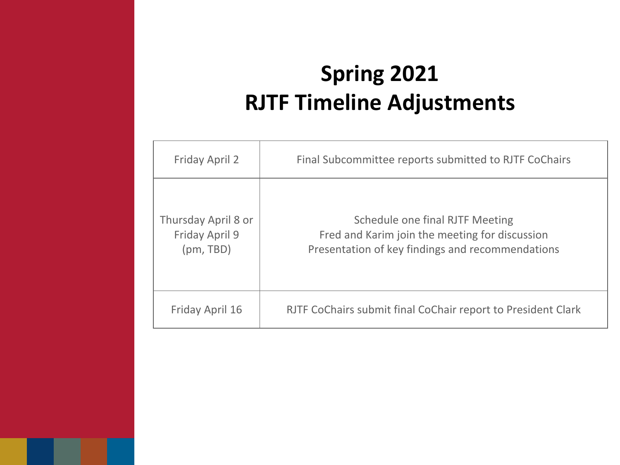| <b>Friday April 2</b>                                     | Final Subcommittee reports submitted to RJTF CoChairs                                                                                        |
|-----------------------------------------------------------|----------------------------------------------------------------------------------------------------------------------------------------------|
| Thursday April 8 or<br><b>Friday April 9</b><br>(pm, TBD) | <b>Schedule one final RJTF Meeting</b><br>Fred and Karim join the meeting for discussion<br>Presentation of key findings and recommendations |
| <b>Friday April 16</b>                                    | RJTF CoChairs submit final CoChair report to President Clark                                                                                 |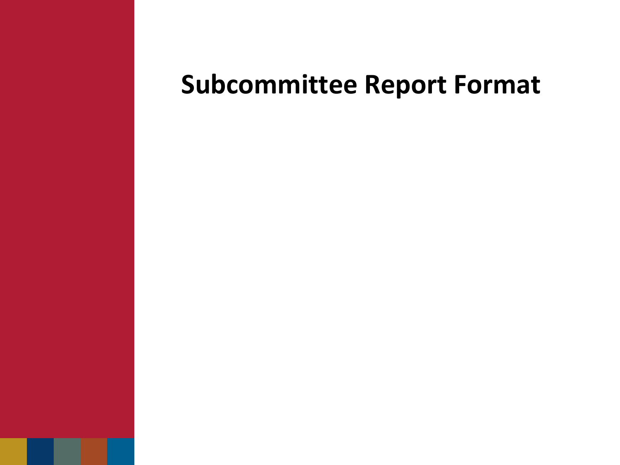# **Subcommittee Report Format**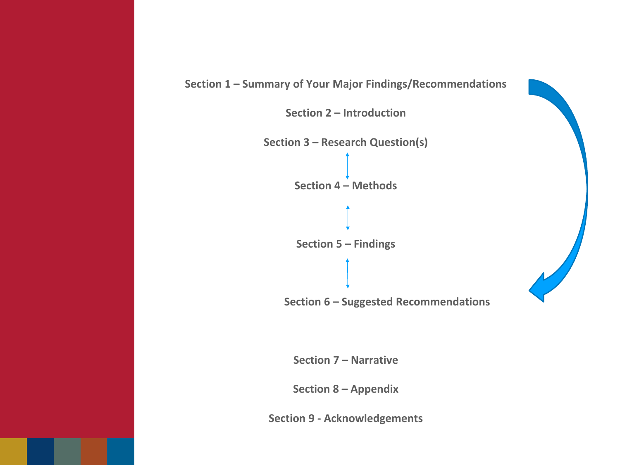

**Section 2 – Introduction**





**Section 7 – Narrative**

**Section 8 – Appendix**

**Section 9 - Acknowledgements**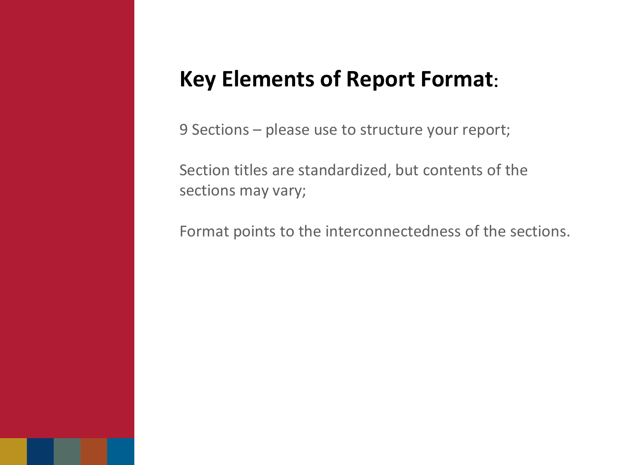## **Key Elements of Report Format**:

9 Sections – please use to structure your report;

Section titles are standardized, but contents of the sections may vary;

Format points to the interconnectedness of the sections.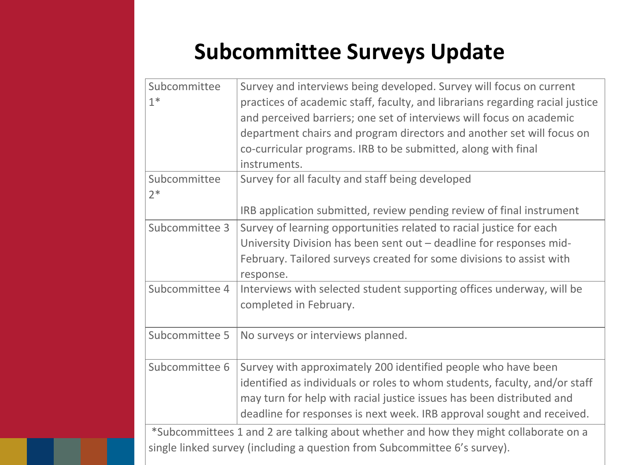## **Subcommittee Surveys Update**

| Subcommittee<br>$1*$ | Survey and interviews being developed. Survey will focus on current<br>practices of academic staff, faculty, and librarians regarding racial justice                                                                                                                                           |
|----------------------|------------------------------------------------------------------------------------------------------------------------------------------------------------------------------------------------------------------------------------------------------------------------------------------------|
|                      | and perceived barriers; one set of interviews will focus on academic                                                                                                                                                                                                                           |
|                      | department chairs and program directors and another set will focus on                                                                                                                                                                                                                          |
|                      | co-curricular programs. IRB to be submitted, along with final                                                                                                                                                                                                                                  |
|                      | instruments.                                                                                                                                                                                                                                                                                   |
| Subcommittee<br>$2*$ | Survey for all faculty and staff being developed                                                                                                                                                                                                                                               |
|                      | IRB application submitted, review pending review of final instrument                                                                                                                                                                                                                           |
| Subcommittee 3       | Survey of learning opportunities related to racial justice for each                                                                                                                                                                                                                            |
|                      | University Division has been sent out $-$ deadline for responses mid-                                                                                                                                                                                                                          |
|                      | February. Tailored surveys created for some divisions to assist with<br>response.                                                                                                                                                                                                              |
| Subcommittee 4       | Interviews with selected student supporting offices underway, will be<br>completed in February.                                                                                                                                                                                                |
| Subcommittee 5       | No surveys or interviews planned.                                                                                                                                                                                                                                                              |
| Subcommittee 6       | Survey with approximately 200 identified people who have been<br>identified as individuals or roles to whom students, faculty, and/or staff<br>may turn for help with racial justice issues has been distributed and<br>deadline for responses is next week. IRB approval sought and received. |
|                      | *Subcommittees 1 and 2 are talking about whether and how they might collaborate on a<br>single linked survey (including a question from Subcommittee 6's survey).                                                                                                                              |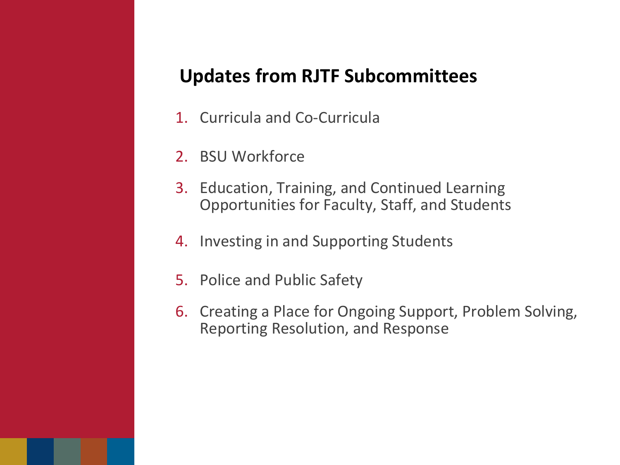## **Updates from RJTF Subcommittees**

- 1. Curricula and Co-Curricula
- 2. BSU Workforce
- 3. Education, Training, and Continued Learning Opportunities for Faculty, Staff, and Students
- 4. Investing in and Supporting Students
- 5. Police and Public Safety
- 6. Creating a Place for Ongoing Support, Problem Solving, Reporting Resolution, and Response